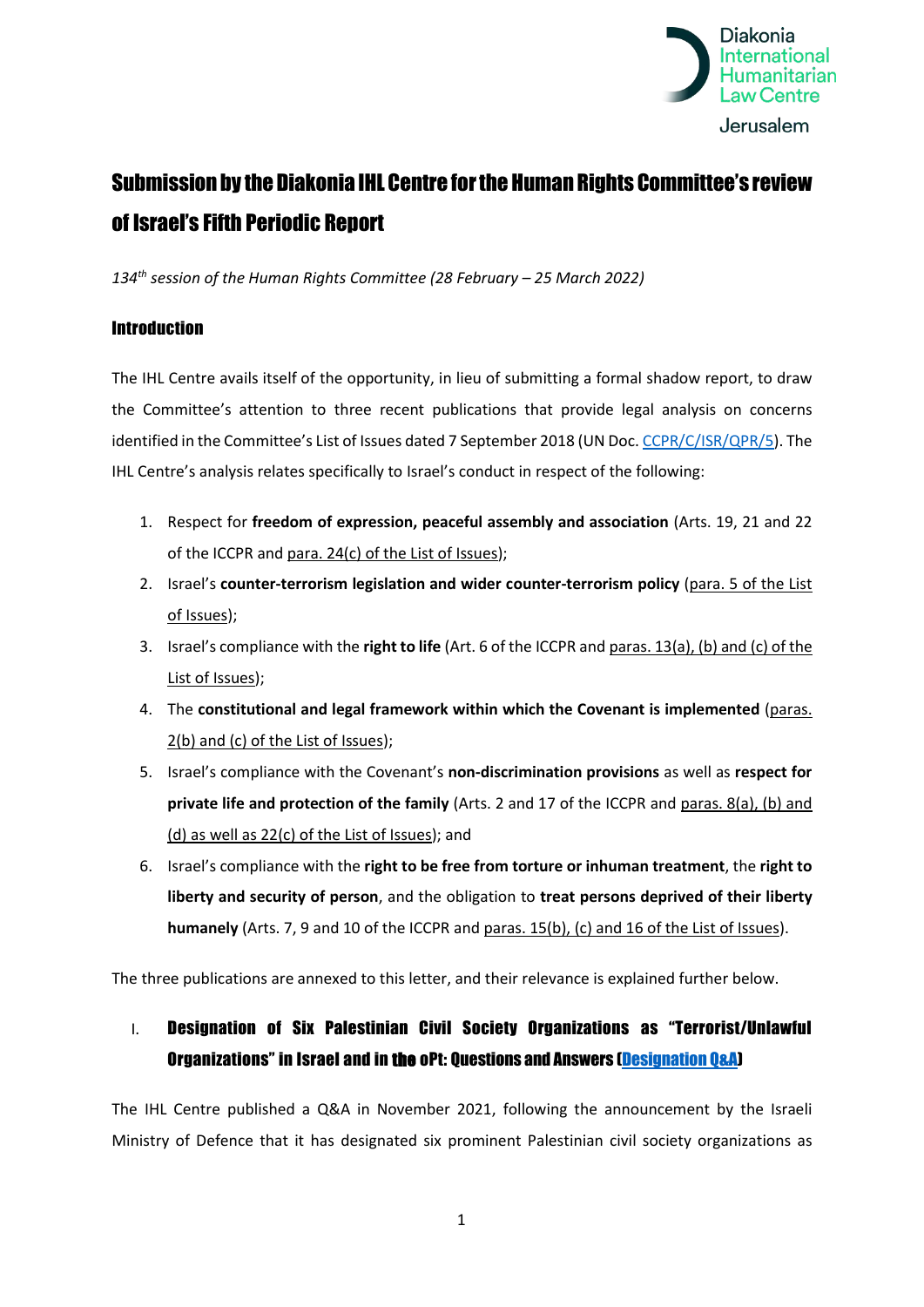

# Submission by the Diakonia IHL Centre forthe Human Rights Committee's review of Israel's Fifth Periodic Report

*134th session of the Human Rights Committee (28 February – 25 March 2022)*

## Introduction

The IHL Centre avails itself of the opportunity, in lieu of submitting a formal shadow report, to draw the Committee's attention to three recent publications that provide legal analysis on concerns identified in the Committee's List of Issues dated 7 September 2018 (UN Doc. [CCPR/C/ISR/QPR/5\)](https://tbinternet.ohchr.org/_layouts/15/treatybodyexternal/Download.aspx?symbolno=CCPR%2fC%2fISR%2fQPR%2f5&Lang=en). The IHL Centre's analysis relates specifically to Israel's conduct in respect of the following:

- 1. Respect for **freedom of expression, peaceful assembly and association** (Arts. 19, 21 and 22 of the ICCPR and para. 24(c) of the List of Issues);
- 2. Israel's **counter-terrorism legislation and wider counter-terrorism policy** (para. 5 of the List of Issues);
- 3. Israel's compliance with the **right to life** (Art. 6 of the ICCPR and paras. 13(a), (b) and (c) of the List of Issues);
- 4. The **constitutional and legal framework within which the Covenant is implemented** (paras. 2(b) and (c) of the List of Issues);
- 5. Israel's compliance with the Covenant's **non-discrimination provisions** as well as **respect for private life and protection of the family** (Arts. 2 and 17 of the ICCPR and paras. 8(a), (b) and (d) as well as 22(c) of the List of Issues); and
- 6. Israel's compliance with the **right to be free from torture or inhuman treatment**, the **right to liberty and security of person**, and the obligation to **treat persons deprived of their liberty humanely** (Arts. 7, 9 and 10 of the ICCPR and paras. 15(b), (c) and 16 of the List of Issues).

The three publications are annexed to this letter, and their relevance is explained further below.

# I. Designation of Six Palestinian Civil Society Organizations as "Terrorist/Unlawful Organizations" in Israel and in the oPt: Questions and Answers [\(Designation Q&A\)](https://apidiakoniase.cdn.triggerfish.cloud/uploads/sites/2/2021/11/Designation-of-Palestinian-CSOs-as-terrorist-organisations.pdf)

The IHL Centre published a Q&A in November 2021, following the announcement by the Israeli Ministry of Defence that it has designated six prominent Palestinian civil society organizations as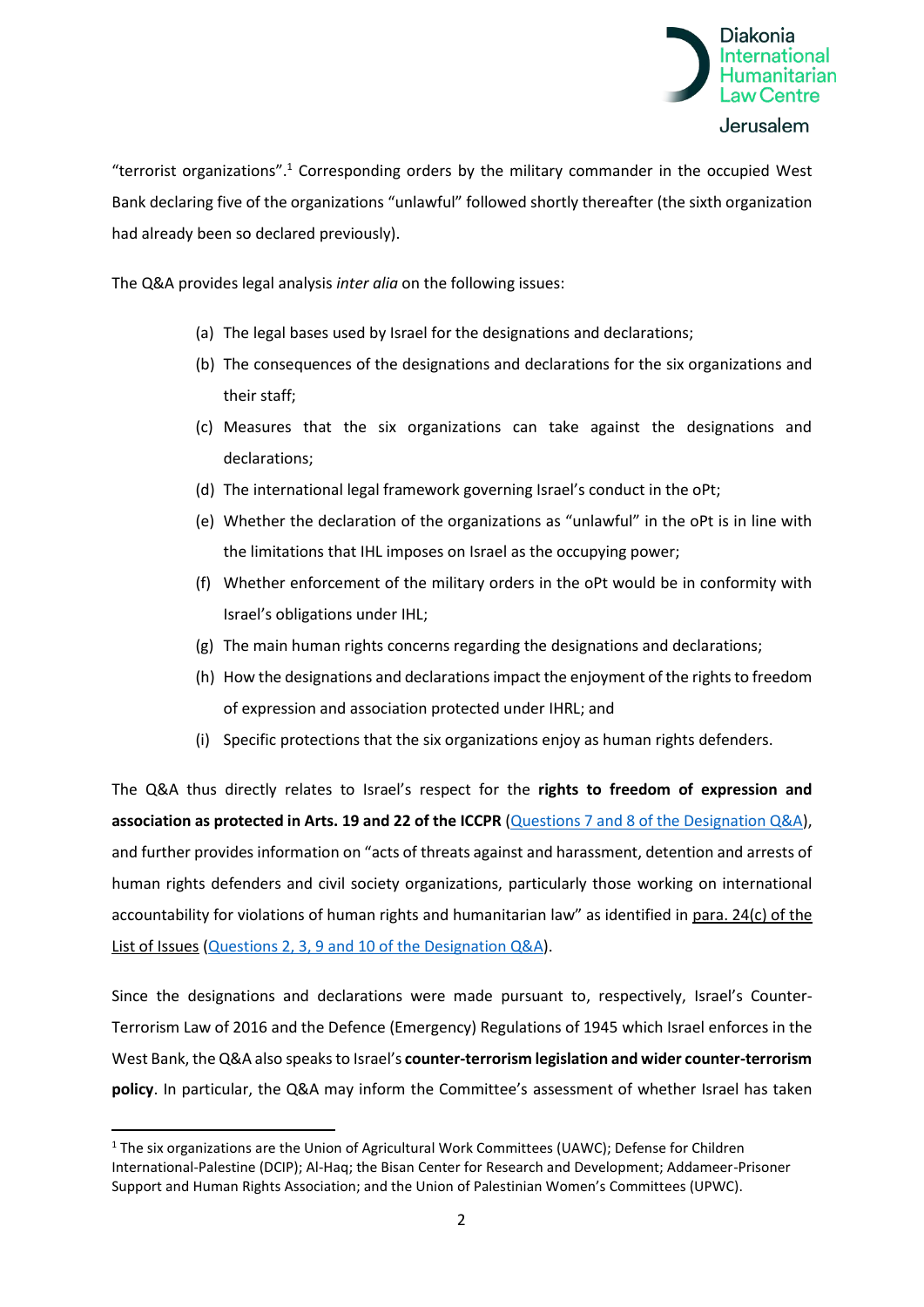

"terrorist organizations". <sup>1</sup> Corresponding orders by the military commander in the occupied West Bank declaring five of the organizations "unlawful" followed shortly thereafter (the sixth organization had already been so declared previously).

The Q&A provides legal analysis *inter alia* on the following issues:

- (a) The legal bases used by Israel for the designations and declarations;
- (b) The consequences of the designations and declarations for the six organizations and their staff;
- (c) Measures that the six organizations can take against the designations and declarations;
- (d) The international legal framework governing Israel's conduct in the oPt;
- (e) Whether the declaration of the organizations as "unlawful" in the oPt is in line with the limitations that IHL imposes on Israel as the occupying power;
- (f) Whether enforcement of the military orders in the oPt would be in conformity with Israel's obligations under IHL;
- (g) The main human rights concerns regarding the designations and declarations;
- (h) How the designations and declarations impact the enjoyment of the rights to freedom of expression and association protected under IHRL; and
- (i) Specific protections that the six organizations enjoy as human rights defenders.

The Q&A thus directly relates to Israel's respect for the **rights to freedom of expression and association as protected in Arts. 19 and 22 of the ICCPR** (Questions 7 and 8 [of the Designation Q&A\)](https://apidiakoniase.cdn.triggerfish.cloud/uploads/sites/2/2021/11/Designation-of-Palestinian-CSOs-as-terrorist-organisations.pdf), and further provides information on "acts of threats against and harassment, detention and arrests of human rights defenders and civil society organizations, particularly those working on international accountability for violations of human rights and humanitarian law" as identified in para. 24(c) of the List of Issues (Questions 2, 3, 9 and 10 [of the Designation Q&A\)](https://apidiakoniase.cdn.triggerfish.cloud/uploads/sites/2/2021/11/Designation-of-Palestinian-CSOs-as-terrorist-organisations.pdf).

Since the designations and declarations were made pursuant to, respectively, Israel's Counter-Terrorism Law of 2016 and the Defence (Emergency) Regulations of 1945 which Israel enforces in the West Bank, the Q&A also speaks to Israel's **counter-terrorism legislation and wider counter-terrorism policy**. In particular, the Q&A may inform the Committee's assessment of whether Israel has taken

<sup>&</sup>lt;sup>1</sup> The six organizations are the Union of Agricultural Work Committees (UAWC); Defense for Children International-Palestine (DCIP); Al-Haq; the Bisan Center for Research and Development; Addameer-Prisoner Support and Human Rights Association; and the Union of Palestinian Women's Committees (UPWC).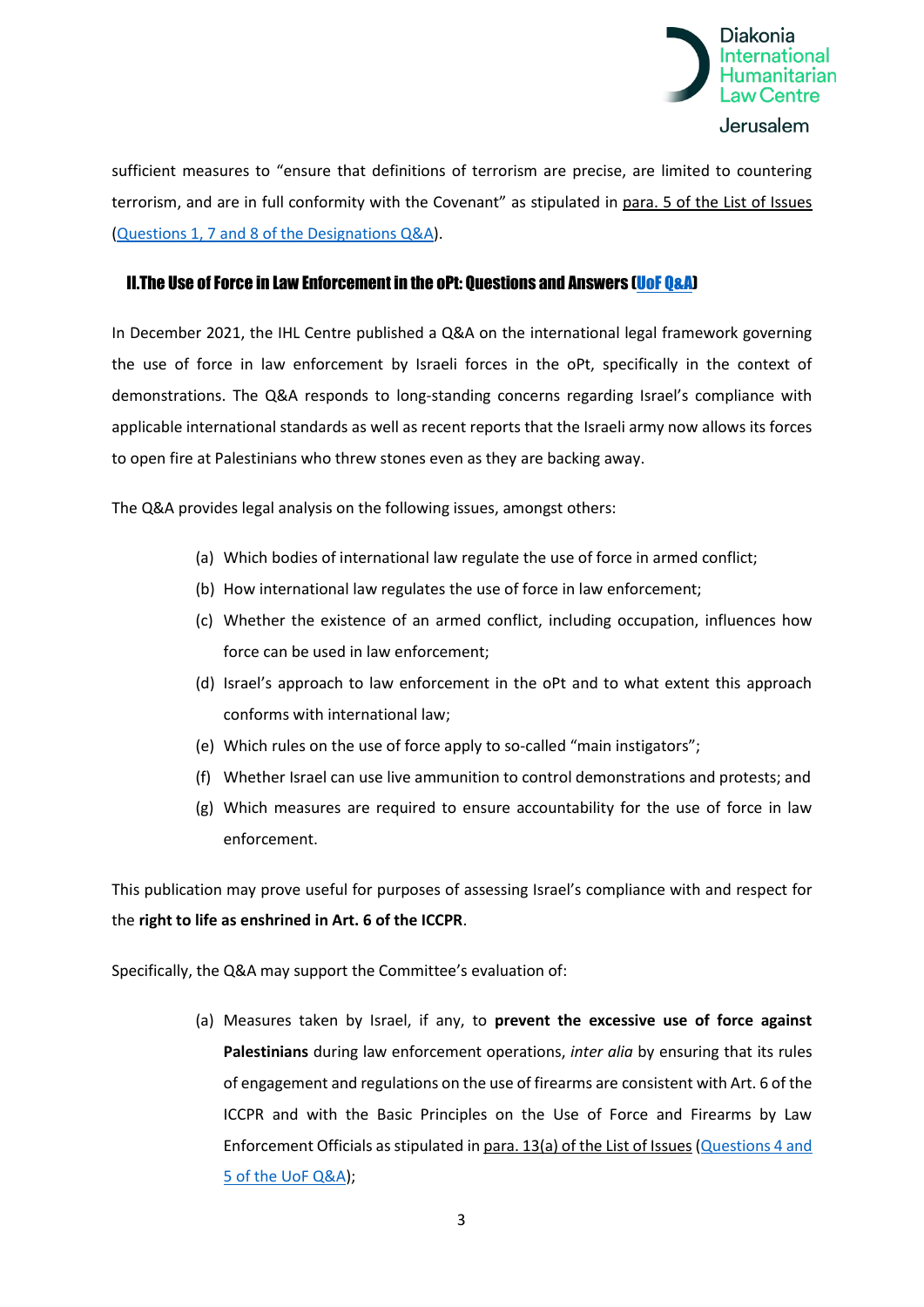

sufficient measures to "ensure that definitions of terrorism are precise, are limited to countering terrorism, and are in full conformity with the Covenant" as stipulated in para. 5 of the List of Issues (Questions 1, 7 and 8 [of the Designations Q&A\)](https://apidiakoniase.cdn.triggerfish.cloud/uploads/sites/2/2021/11/Designation-of-Palestinian-CSOs-as-terrorist-organisations.pdf).

#### II.The Use of Force in Law Enforcement in the oPt: Questions and Answers [\(UoF Q&A\)](https://apidiakoniase.cdn.triggerfish.cloud/uploads/sites/2/2021/12/QA-Use-of-Force-in-Law-Enforcement-oPt.pdf)

In December 2021, the IHL Centre published a Q&A on the international legal framework governing the use of force in law enforcement by Israeli forces in the oPt, specifically in the context of demonstrations. The Q&A responds to long-standing concerns regarding Israel's compliance with applicable international standards as well as recent reports that the Israeli army now allows its forces to open fire at Palestinians who threw stones even as they are backing away.

The Q&A provides legal analysis on the following issues, amongst others:

- (a) Which bodies of international law regulate the use of force in armed conflict;
- (b) How international law regulates the use of force in law enforcement;
- (c) Whether the existence of an armed conflict, including occupation, influences how force can be used in law enforcement;
- (d) Israel's approach to law enforcement in the oPt and to what extent this approach conforms with international law;
- (e) Which rules on the use of force apply to so-called "main instigators";
- (f) Whether Israel can use live ammunition to control demonstrations and protests; and
- (g) Which measures are required to ensure accountability for the use of force in law enforcement.

This publication may prove useful for purposes of assessing Israel's compliance with and respect for the **right to life as enshrined in Art. 6 of the ICCPR**.

Specifically, the Q&A may support the Committee's evaluation of:

(a) Measures taken by Israel, if any, to **prevent the excessive use of force against Palestinians** during law enforcement operations, *inter alia* by ensuring that its rules of engagement and regulations on the use of firearms are consistent with Art. 6 of the ICCPR and with the Basic Principles on the Use of Force and Firearms by Law Enforcement Officials as stipulated in para. 13(a) of the List of Issues [\(Questions 4 and](https://apidiakoniase.cdn.triggerfish.cloud/uploads/sites/2/2021/12/QA-Use-of-Force-in-Law-Enforcement-oPt.pdf)  5 [of the UoF Q&A\)](https://apidiakoniase.cdn.triggerfish.cloud/uploads/sites/2/2021/12/QA-Use-of-Force-in-Law-Enforcement-oPt.pdf);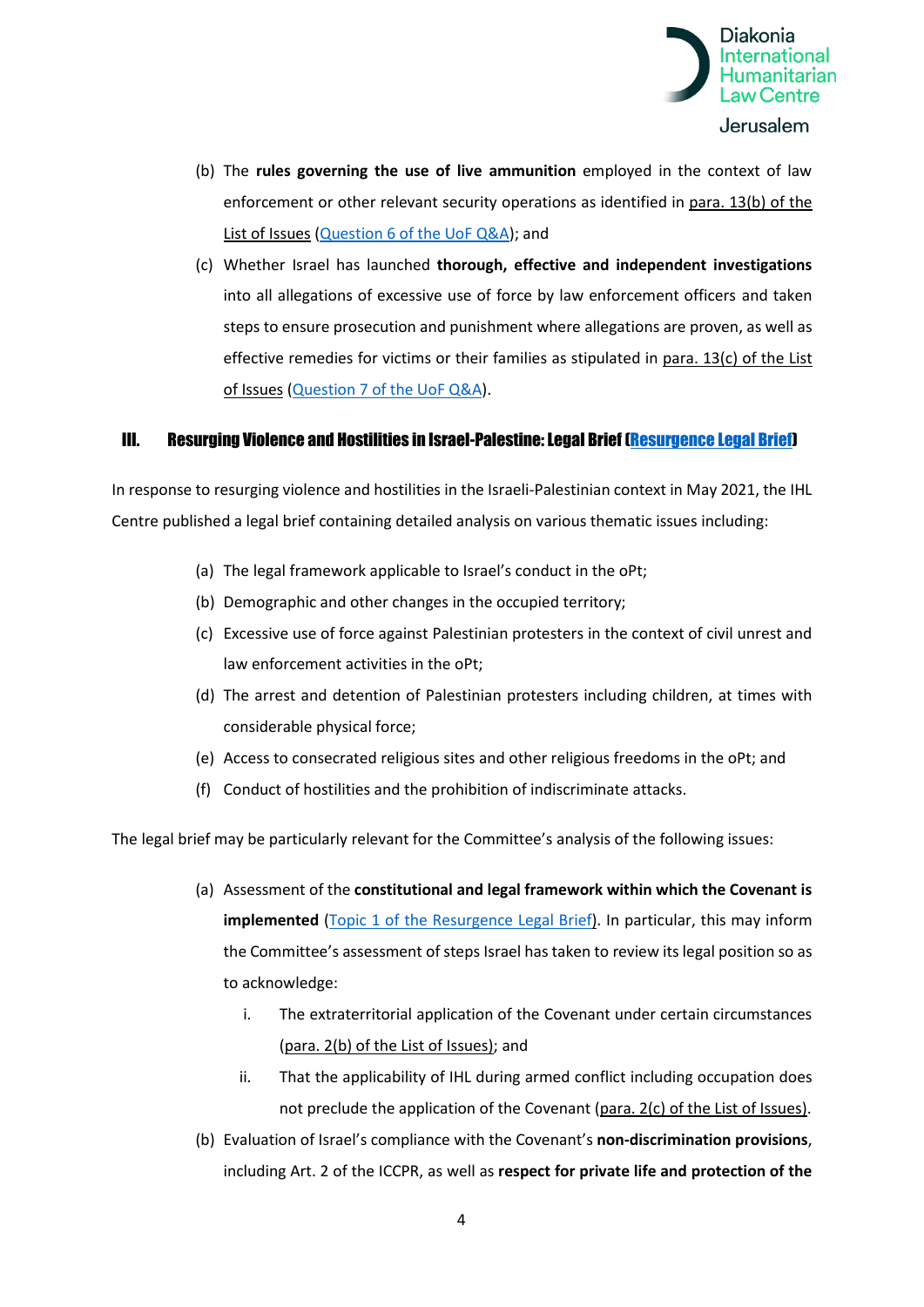

- (b) The **rules governing the use of live ammunition** employed in the context of law enforcement or other relevant security operations as identified in para. 13(b) of the List of Issues (Question 6 [of the UoF Q&A\)](https://apidiakoniase.cdn.triggerfish.cloud/uploads/sites/2/2021/12/QA-Use-of-Force-in-Law-Enforcement-oPt.pdf); and
- (c) Whether Israel has launched **thorough, effective and independent investigations** into all allegations of excessive use of force by law enforcement officers and taken steps to ensure prosecution and punishment where allegations are proven, as well as effective remedies for victims or their families as stipulated in para. 13(c) of the List of Issues (Question 7 [of the UoF Q&A\)](https://apidiakoniase.cdn.triggerfish.cloud/uploads/sites/2/2021/12/QA-Use-of-Force-in-Law-Enforcement-oPt.pdf).

#### III. Resurging Violence and Hostilities in Israel-Palestine: Legal Brief [\(Resurgence Legal Brief\)](https://apidiakoniase.cdn.triggerfish.cloud/uploads/sites/4/2021/06/legal-brief-resurging-violence-May-2021.pdf)

In response to resurging violence and hostilities in the Israeli-Palestinian context in May 2021, the IHL Centre published a legal brief containing detailed analysis on various thematic issues including:

- (a) The legal framework applicable to Israel's conduct in the oPt;
- (b) Demographic and other changes in the occupied territory;
- (c) Excessive use of force against Palestinian protesters in the context of civil unrest and law enforcement activities in the oPt;
- (d) The arrest and detention of Palestinian protesters including children, at times with considerable physical force;
- (e) Access to consecrated religious sites and other religious freedoms in the oPt; and
- (f) Conduct of hostilities and the prohibition of indiscriminate attacks.

The legal brief may be particularly relevant for the Committee's analysis of the following issues:

- (a) Assessment of the **constitutional and legal framework within which the Covenant is implemented** [\(Topic 1 of the Resurgence Legal Brief\)](https://apidiakoniase.cdn.triggerfish.cloud/uploads/sites/4/2021/06/legal-brief-resurging-violence-May-2021.pdf). In particular, this may inform the Committee's assessment of steps Israel has taken to review its legal position so as to acknowledge:
	- i. The extraterritorial application of the Covenant under certain circumstances (para. 2(b) of the List of Issues); and
	- ii. That the applicability of IHL during armed conflict including occupation does not preclude the application of the Covenant (para. 2(c) of the List of Issues).
- (b) Evaluation of Israel's compliance with the Covenant's **non-discrimination provisions**, including Art. 2 of the ICCPR, as well as **respect for private life and protection of the**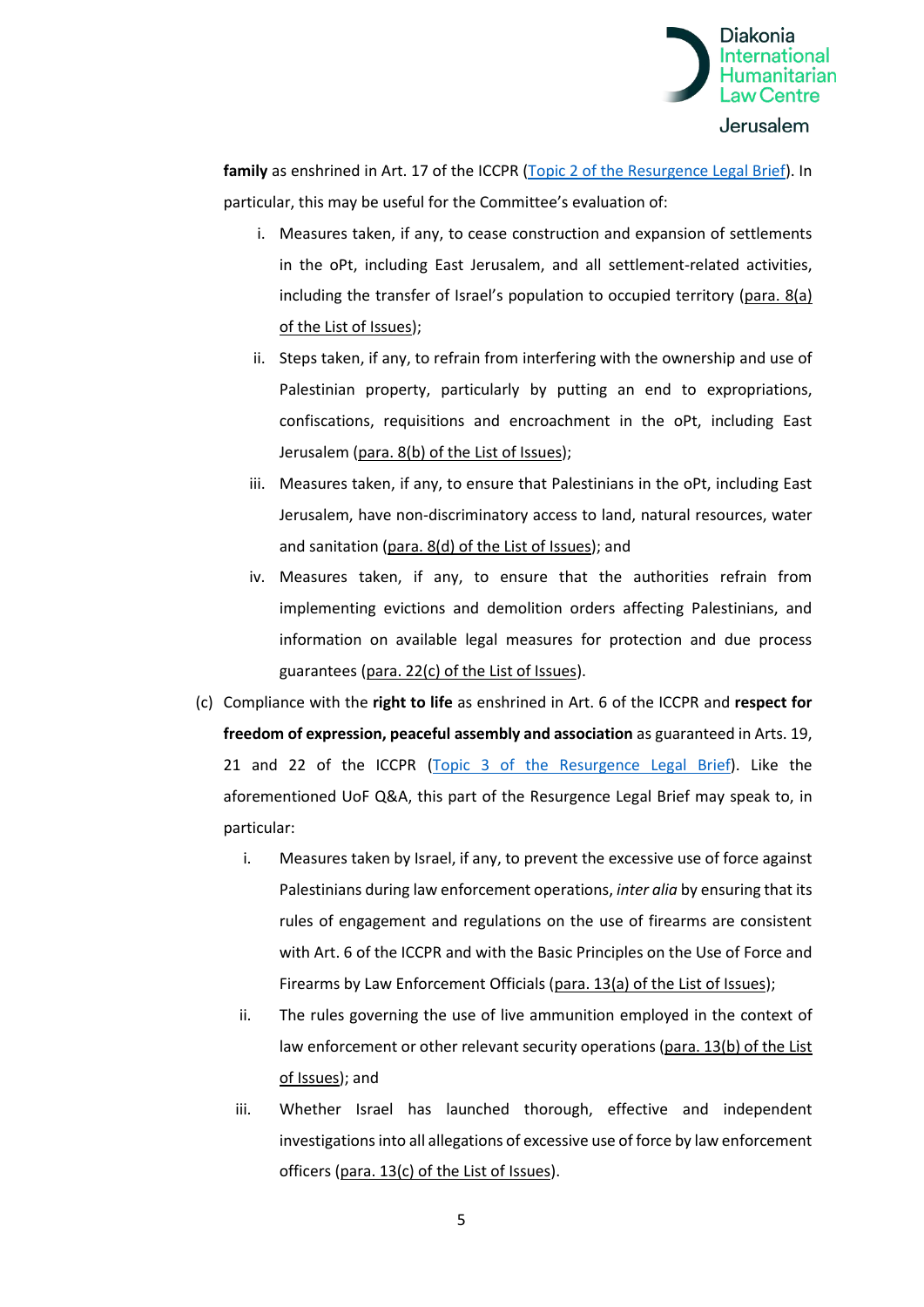

**family** as enshrined in Art. 17 of the ICCPR [\(Topic 2 of the Resurgence Legal Brief\)](https://apidiakoniase.cdn.triggerfish.cloud/uploads/sites/4/2021/06/legal-brief-resurging-violence-May-2021.pdf). In particular, this may be useful for the Committee's evaluation of:

- i. Measures taken, if any, to cease construction and expansion of settlements in the oPt, including East Jerusalem, and all settlement-related activities, including the transfer of Israel's population to occupied territory (para. 8(a) of the List of Issues);
- ii. Steps taken, if any, to refrain from interfering with the ownership and use of Palestinian property, particularly by putting an end to expropriations, confiscations, requisitions and encroachment in the oPt, including East Jerusalem (para. 8(b) of the List of Issues);
- iii. Measures taken, if any, to ensure that Palestinians in the oPt, including East Jerusalem, have non-discriminatory access to land, natural resources, water and sanitation (para. 8(d) of the List of Issues); and
- iv. Measures taken, if any, to ensure that the authorities refrain from implementing evictions and demolition orders affecting Palestinians, and information on available legal measures for protection and due process guarantees (para. 22(c) of the List of Issues).
- (c) Compliance with the **right to life** as enshrined in Art. 6 of the ICCPR and **respect for freedom of expression, peaceful assembly and association** as guaranteed in Arts. 19, 21 and 22 of the ICCPR [\(Topic 3 of the Resurgence Legal Brief\)](https://apidiakoniase.cdn.triggerfish.cloud/uploads/sites/4/2021/06/legal-brief-resurging-violence-May-2021.pdf). Like the aforementioned UoF Q&A, this part of the Resurgence Legal Brief may speak to, in particular:
	- i. Measures taken by Israel, if any, to prevent the excessive use of force against Palestinians during law enforcement operations, *inter alia* by ensuring that its rules of engagement and regulations on the use of firearms are consistent with Art. 6 of the ICCPR and with the Basic Principles on the Use of Force and Firearms by Law Enforcement Officials (para. 13(a) of the List of Issues);
	- ii. The rules governing the use of live ammunition employed in the context of law enforcement or other relevant security operations (para. 13(b) of the List of Issues); and
	- iii. Whether Israel has launched thorough, effective and independent investigations into all allegations of excessive use of force by law enforcement officers (para. 13(c) of the List of Issues).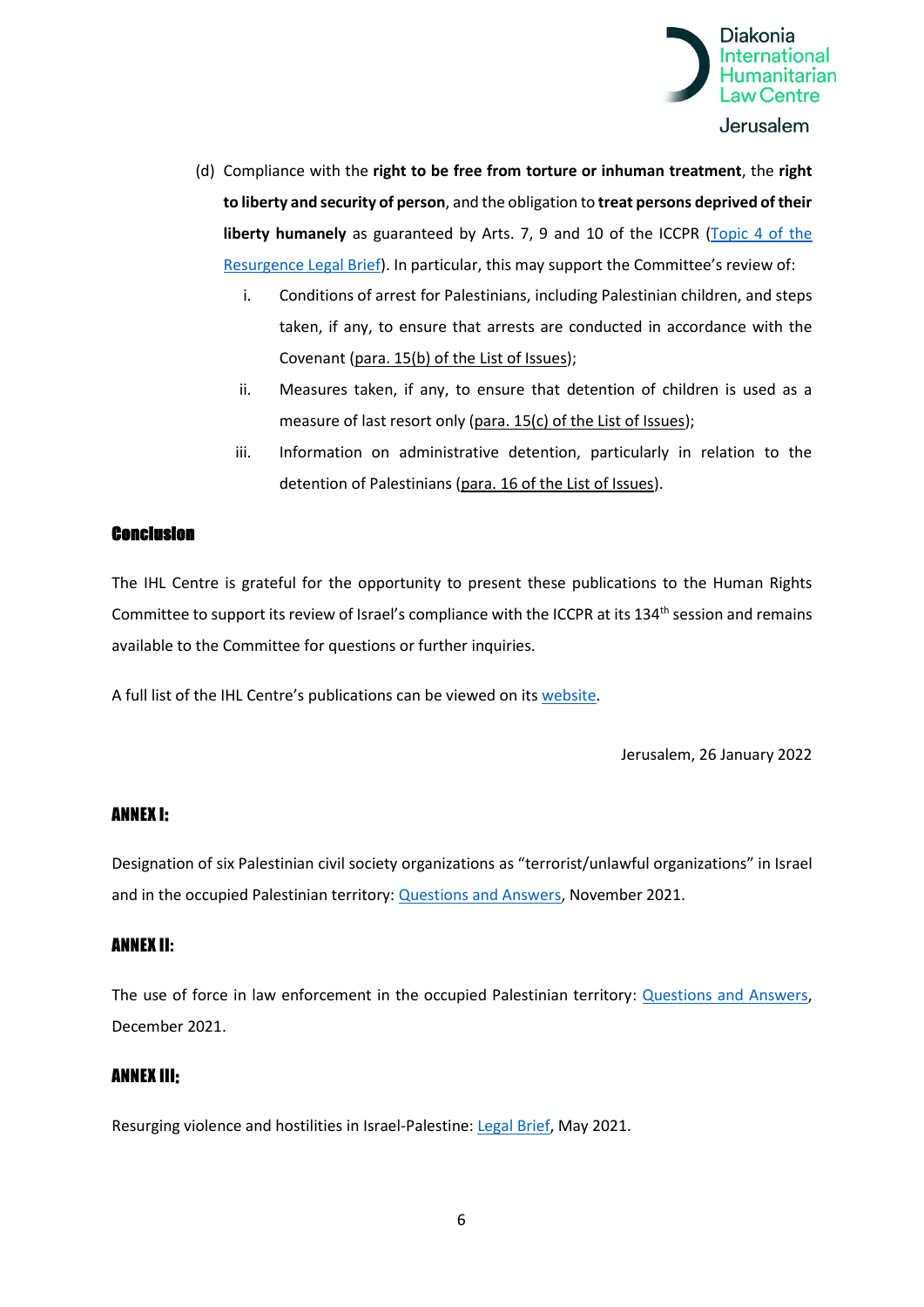

- (d) Compliance with the **right to be free from torture or inhuman treatment**, the **right to liberty and security of person**, and the obligation to **treat persons deprived of their liberty humanely** as guaranteed by Arts. 7, 9 and 10 of the ICCPR [\(Topic 4](https://apidiakoniase.cdn.triggerfish.cloud/uploads/sites/4/2021/06/legal-brief-resurging-violence-May-2021.pdf) of the [Resurgence Legal Brief\)](https://apidiakoniase.cdn.triggerfish.cloud/uploads/sites/4/2021/06/legal-brief-resurging-violence-May-2021.pdf). In particular, this may support the Committee's review of:
	- i. Conditions of arrest for Palestinians, including Palestinian children, and steps taken, if any, to ensure that arrests are conducted in accordance with the Covenant (para. 15(b) of the List of Issues);
	- ii. Measures taken, if any, to ensure that detention of children is used as a measure of last resort only (para. 15(c) of the List of Issues);
	- iii. Information on administrative detention, particularly in relation to the detention of Palestinians (para. 16 of the List of Issues).

## Conclusion

The IHL Centre is grateful for the opportunity to present these publications to the Human Rights Committee to support its review of Israel's compliance with the ICCPR at its 134<sup>th</sup> session and remains available to the Committee for questions or further inquiries.

A full list of the IHL Centre's publications can be viewed on its [website.](https://www.diakonia.se/ihl/publications/)

Jerusalem, 26 January 2022

#### ANNEX I:

Designation of six Palestinian civil society organizations as "terrorist/unlawful organizations" in Israel and in the occupied Palestinian territory: **Questions and Answers**, November 2021.

#### ANNEX II:

The use of force in law enforcement in the occupied Palestinian territory: [Questions and Answers,](https://apidiakoniase.cdn.triggerfish.cloud/uploads/sites/2/2021/12/QA-Use-of-Force-in-Law-Enforcement-oPt.pdf) December 2021.

#### ANNEX III:

Resurging violence and hostilities in Israel-Palestine: [Legal Brief,](https://apidiakoniase.cdn.triggerfish.cloud/uploads/sites/4/2021/06/legal-brief-resurging-violence-May-2021.pdf) May 2021.